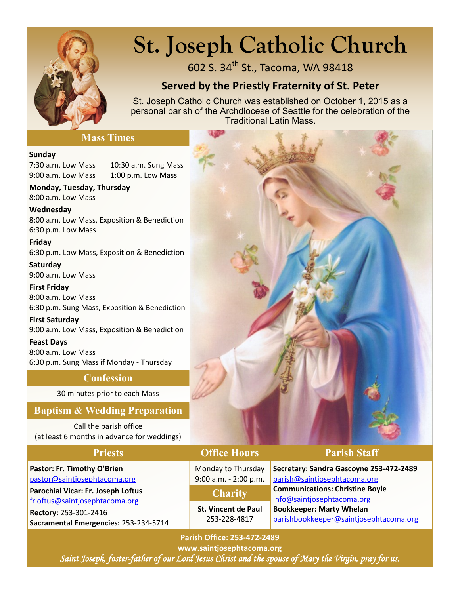

# **St. Joseph Catholic Church**

602 S. 34<sup>th</sup> St., Tacoma, WA 98418

# **Served by the Priestly Fraternity of St. Peter**

St. Joseph Catholic Church was established on October 1, 2015 as a personal parish of the Archdiocese of Seattle for the celebration of the Traditional Latin Mass.

#### **Mass Times**

#### **Sunday**

7:30 a.m. Low Mass 10:30 a.m. Sung Mass 9:00 a.m. Low Mass 1:00 p.m. Low Mass

**Monday, Tuesday, Thursday**  8:00 a.m. Low Mass

**Wednesday** 8:00 a.m. Low Mass, Exposition & Benediction 6:30 p.m. Low Mass

**Friday** 6:30 p.m. Low Mass, Exposition & Benediction

**Saturday** 9:00 a.m. Low Mass

**First Friday** 8:00 a.m. Low Mass 6:30 p.m. Sung Mass, Exposition & Benediction

**First Saturday** 9:00 a.m. Low Mass, Exposition & Benediction

**Feast Days** 8:00 a.m. Low Mass 6:30 p.m. Sung Mass if Monday - Thursday

### **Confession**

30 minutes prior to each Mass

### **Baptism & Wedding Preparation**

Call the parish office (at least 6 months in advance for weddings)

**Pastor: Fr. Timothy O'Brien** [pastor@saintjosephtacoma.org](mailto:pastor@saintjosephtacoma.org)

**Parochial Vicar: Fr. Joseph Loftus** [frloftus@saintjosephtacoma.org](mailto:frloftus@saintjosephtacoma.org)

**Rectory:** 253-301-2416 **Sacramental Emergencies:** 253-234-5714

### **Priests Office Hours Parish Staff**

Monday to Thursday 9:00 a.m. - 2:00 p.m.

**Charity**

**St. Vincent de Paul** 253-228-4817

**Secretary: Sandra Gascoyne 253-472-2489** [parish@saintjosephtacoma.org](mailto:parish@saintjosephtacoma.org) **Communications: Christine Boyle** [info@saintjosephtacoma.org](mailto:info@saintjosephtacoma.org) **Bookkeeper: Marty Whelan** [parishbookkeeper@saintjosephtacoma.org](mailto:parishbookkeeper@saintjosephtacoma.org)

**Parish Office: 253-472-2489**

**www.saintjosephtacoma.org** *Saint Joseph, foster-father of our Lord Jesus Christ and the spouse of Mary the Virgin, pray for us.*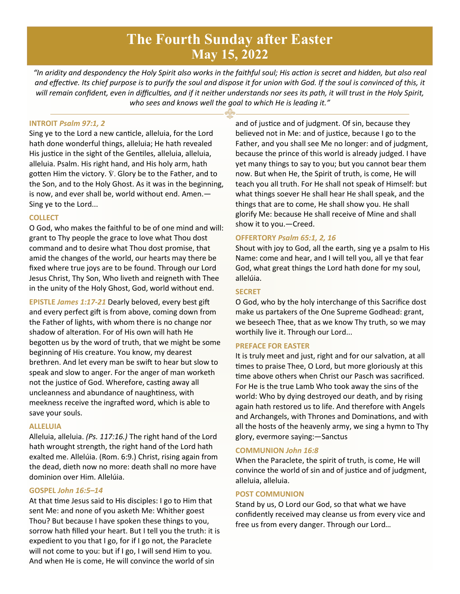# **The Fourth Sunday after Easter May 15, 2022**

*"In aridity and despondency the Holy Spirit also works in the faithful soul; His action is secret and hidden, but also real and effective. Its chief purpose is to purify the soul and dispose it for union with God. If the soul is convinced of this, it will remain confident, even in difficulties, and if it neither understands nor sees its path, it will trust in the Holy Spirit, who sees and knows well the goal to which He is leading it."*

#### **INTROIT** *Psalm 97:1, 2*

Sing ye to the Lord a new canticle, alleluia, for the Lord hath done wonderful things, alleluia; He hath revealed His justice in the sight of the Gentiles, alleluia, alleluia, alleluia. Psalm. His right hand, and His holy arm, hath gotten Him the victory.  $\hat{V}$ . Glory be to the Father, and to the Son, and to the Holy Ghost. As it was in the beginning, is now, and ever shall be, world without end. Amen.— Sing ye to the Lord...

#### **COLLECT**

O God, who makes the faithful to be of one mind and will: grant to Thy people the grace to love what Thou dost command and to desire what Thou dost promise, that amid the changes of the world, our hearts may there be fixed where true joys are to be found. Through our Lord Jesus Christ, Thy Son, Who liveth and reigneth with Thee in the unity of the Holy Ghost, God, world without end.

**EPISTLE** *James 1:17-21* Dearly beloved, every best gift and every perfect gift is from above, coming down from the Father of lights, with whom there is no change nor shadow of alteration. For of His own will hath He begotten us by the word of truth, that we might be some beginning of His creature. You know, my dearest brethren. And let every man be swift to hear but slow to speak and slow to anger. For the anger of man worketh not the justice of God. Wherefore, casting away all uncleanness and abundance of naughtiness, with meekness receive the ingrafted word, which is able to save your souls.

#### **ALLELUIA**

Alleluia, alleluia. *(Ps. 117:16.)* The right hand of the Lord hath wrought strength, the right hand of the Lord hath exalted me. Allelúia. (Rom. 6:9.) Christ, rising again from the dead, dieth now no more: death shall no more have dominion over Him. Allelúia.

#### **GOSPEL** *John 16:5–14*

At that time Jesus said to His disciples: I go to Him that sent Me: and none of you asketh Me: Whither goest Thou? But because I have spoken these things to you, sorrow hath filled your heart. But I tell you the truth: it is expedient to you that I go, for if I go not, the Paraclete will not come to you: but if I go, I will send Him to you. And when He is come, He will convince the world of sin

and of justice and of judgment. Of sin, because they believed not in Me: and of justice, because I go to the Father, and you shall see Me no longer: and of judgment, because the prince of this world is already judged. I have yet many things to say to you; but you cannot bear them now. But when He, the Spirit of truth, is come, He will teach you all truth. For He shall not speak of Himself: but what things soever He shall hear He shall speak, and the things that are to come, He shall show you. He shall glorify Me: because He shall receive of Mine and shall show it to you.—Creed.

#### **OFFERTORY** *Psalm 65:1, 2, 16*

Shout with joy to God, all the earth, sing ye a psalm to His Name: come and hear, and I will tell you, all ye that fear God, what great things the Lord hath done for my soul, allelúia.

#### **SECRET**

O God, who by the holy interchange of this Sacrifice dost make us partakers of the One Supreme Godhead: grant, we beseech Thee, that as we know Thy truth, so we may worthily live it. Through our Lord...

#### **PREFACE FOR EASTER**

It is truly meet and just, right and for our salvation, at all times to praise Thee, O Lord, but more gloriously at this time above others when Christ our Pasch was sacrificed. For He is the true Lamb Who took away the sins of the world: Who by dying destroyed our death, and by rising again hath restored us to life. And therefore with Angels and Archangels, with Thrones and Dominations, and with all the hosts of the heavenly army, we sing a hymn to Thy glory, evermore saying:—Sanctus

#### **COMMUNION** *John 16:8*

When the Paraclete, the spirit of truth, is come, He will convince the world of sin and of justice and of judgment, alleluia, alleluia.

#### **POST COMMUNION**

Stand by us, O Lord our God, so that what we have confidently received may cleanse us from every vice and free us from every danger. Through our Lord…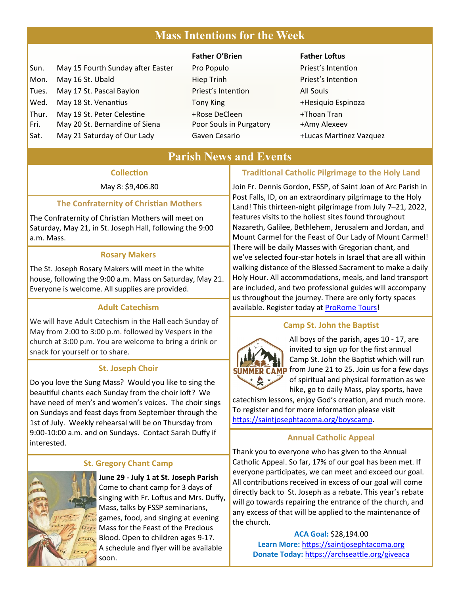# **Mass Intentions for the Week**

| Sun.  | May 15 Fourth Sunday after East |
|-------|---------------------------------|
| Mon.  | May 16 St. Ubald                |
| Tues. | May 17 St. Pascal Baylon        |
| Wed.  | May 18 St. Venantius            |
| Thur. | May 19 St. Peter Celestine      |
| Fri.  | May 20 St. Bernardine of Siena  |
| Sat.  | May 21 Saturday of Our Lady     |

#### **Father O'Brien Father Loftus**

er Pro Populo Priest's Intention **Hiep Trinh Priest's Intention** Priest's Intention All Souls Tony King **18 St. Venantius 18 St. Venantius Tony King 18 St. Venantius Tony King 18 St. Venantius Tony America** +Rose DeCleen +Thoan Tran Poor Souls in Purgatory +Amy Alexeev Gaven Cesario **121 Saturday 21 Saturaw 21 Saturaw 4 Lucas Martinez Vazquez** 

## **Parish News and Events**

#### **Collection**

May 8: \$9,406.80

# **The Confraternity of Christian Mothers**

The Confraternity of Christian Mothers will meet on Saturday, May 21, in St. Joseph Hall, following the 9:00 a.m. Mass.

#### **Rosary Makers**

The St. Joseph Rosary Makers will meet in the white house, following the 9:00 a.m. Mass on Saturday, May 21. Everyone is welcome. All supplies are provided.

#### **Adult Catechism**

We will have Adult Catechism in the Hall each Sunday of May from 2:00 to 3:00 p.m. followed by Vespers in the church at 3:00 p.m. You are welcome to bring a drink or snack for yourself or to share.

#### **St. Joseph Choir**

Do you love the Sung Mass? Would you like to sing the beautiful chants each Sunday from the choir loft? We have need of men's and women's voices. The choir sings on Sundays and feast days from September through the 1st of July. Weekly rehearsal will be on Thursday from 9:00-10:00 a.m. and on Sundays. Contact Sarah Duffy if interested.

#### **St. Gregory Chant Camp**



 **June 29 - July 1 at St. Joseph Parish** Come to chant camp for 3 days of singing with Fr. Loftus and Mrs. Duffy, Mass, talks by FSSP seminarians, games, food, and singing at evening Mass for the Feast of the Precious Blood. Open to children ages 9-17. A schedule and flyer will be available soon.

#### **Traditional Catholic Pilgrimage to the Holy Land**

Join Fr. Dennis Gordon, FSSP, of Saint Joan of Arc Parish in Post Falls, ID, on an extraordinary pilgrimage to the Holy Land! This thirteen-night pilgrimage from July 7–21, 2022, features visits to the holiest sites found throughout Nazareth, Galilee, Bethlehem, Jerusalem and Jordan, and Mount Carmel for the Feast of Our Lady of Mount Carmel! There will be daily Masses with Gregorian chant, and we've selected four-star hotels in Israel that are all within walking distance of the Blessed Sacrament to make a daily Holy Hour. All accommodations, meals, and land transport are included, and two professional guides will accompany us throughout the journey. There are only forty spaces available. Register today at [ProRome Tours!](https://prorometours.com/holy-land-fssp/)

#### **Camp St. John the Baptist**



All boys of the parish, ages 10 - 17, are invited to sign up for the first annual Camp St. John the Baptist which will run **SUMMER CAMP** from June 21 to 25. Join us for a few days of spiritual and physical formation as we

hike, go to daily Mass, play sports, have catechism lessons, enjoy God's creation, and much more. To register and for more information please visit [https://saintjosephtacoma.org/boyscamp.](https://saintjosephtacoma.org/boyscamp)

#### **Annual Catholic Appeal**

Thank you to everyone who has given to the Annual Catholic Appeal. So far, 17% of our goal has been met. If everyone participates, we can meet and exceed our goal. All contributions received in excess of our goal will come directly back to St. Joseph as a rebate. This year's rebate will go towards repairing the entrance of the church, and any excess of that will be applied to the maintenance of the church.

> **ACA Goal:** \$28,194.00 **Learn More:** [https://saintjosephtacoma.org](https://saintjosephtacoma.org/) **Donate Today:** [https://archseattle.org/giveaca](https://archseattle.org/giveaca/)